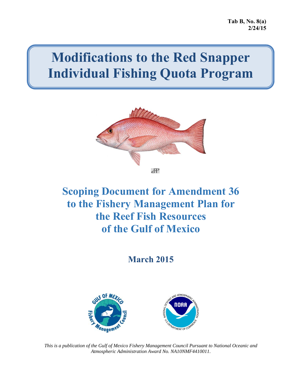# **Modifications to the Red Snapper Individual Fishing Quota Program**



# **Scoping Document for Amendment 36 to the Fishery Management Plan for the Reef Fish Resources of the Gulf of Mexico**

**March 2015** 



*This is a publication of the Gulf of Mexico Fishery Management Council Pursuant to National Oceanic and Atmospheric Administration Award No. NA10NMF4410011.*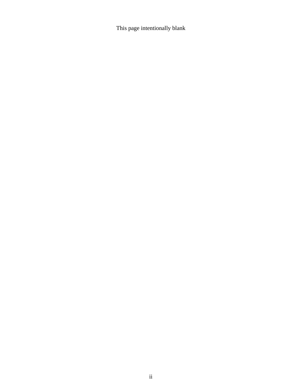This page intentionally blank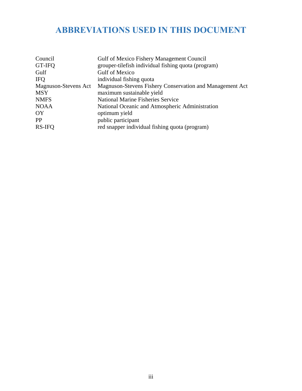# **ABBREVIATIONS USED IN THIS DOCUMENT**

| Council              | <b>Gulf of Mexico Fishery Management Council</b>         |
|----------------------|----------------------------------------------------------|
| GT-IFQ               | grouper-tilefish individual fishing quota (program)      |
| Gulf                 | Gulf of Mexico                                           |
| <b>IFQ</b>           | individual fishing quota                                 |
| Magnuson-Stevens Act | Magnuson-Stevens Fishery Conservation and Management Act |
| <b>MSY</b>           | maximum sustainable yield                                |
| <b>NMFS</b>          | <b>National Marine Fisheries Service</b>                 |
| <b>NOAA</b>          | National Oceanic and Atmospheric Administration          |
| OY                   | optimum yield                                            |
| <b>PP</b>            | public participant                                       |
| RS-IFQ               | red snapper individual fishing quota (program)           |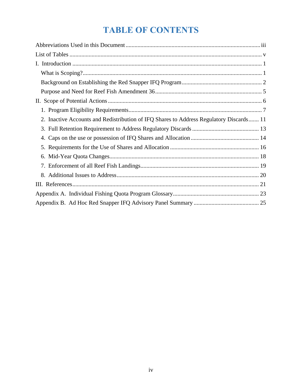# **TABLE OF CONTENTS**

| 2. Inactive Accounts and Redistribution of IFQ Shares to Address Regulatory Discards 11 |
|-----------------------------------------------------------------------------------------|
|                                                                                         |
| 4.                                                                                      |
|                                                                                         |
|                                                                                         |
|                                                                                         |
|                                                                                         |
|                                                                                         |
|                                                                                         |
|                                                                                         |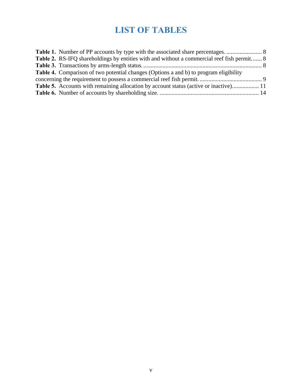# **LIST OF TABLES**

| <b>Table 2.</b> RS-IFQ shareholdings by entities with and without a commercial reef fish permit 8 |  |
|---------------------------------------------------------------------------------------------------|--|
|                                                                                                   |  |
| <b>Table 4.</b> Comparison of two potential changes (Options a and b) to program eligibility      |  |
|                                                                                                   |  |
| Table 5. Accounts with remaining allocation by account status (active or inactive) 11             |  |
|                                                                                                   |  |
|                                                                                                   |  |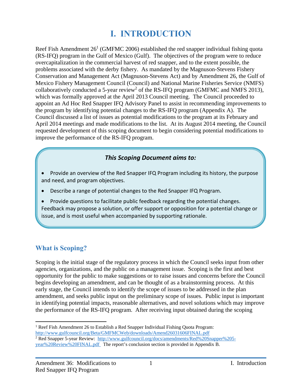# **I. INTRODUCTION**

Reef Fish Amendment  $26<sup>1</sup>$  (GMFMC 2006) established the red snapper individual fishing quota (RS-IFQ) program in the Gulf of Mexico (Gulf). The objectives of the program were to reduce overcapitalization in the commercial harvest of red snapper, and to the extent possible, the problems associated with the derby fishery. As mandated by the Magnuson-Stevens Fishery Conservation and Management Act (Magnuson-Stevens Act) and by Amendment 26, the Gulf of Mexico Fishery Management Council (Council) and National Marine Fisheries Service (NMFS) collaboratively conducted a 5-year review<sup>2</sup> of the RS-IFQ program (GMFMC and NMFS 2013), which was formally approved at the April 2013 Council meeting. The Council proceeded to appoint an Ad Hoc Red Snapper IFQ Advisory Panel to assist in recommending improvements to the program by identifying potential changes to the RS-IFQ program (Appendix A). The Council discussed a list of issues as potential modifications to the program at its February and April 2014 meetings and made modifications to the list. At its August 2014 meeting, the Council requested development of this scoping document to begin considering potential modifications to improve the performance of the RS-IFQ program.

# *This Scoping Document aims to:*

- Provide an overview of the Red Snapper IFQ Program including its history, the purpose and need, and program objectives.
- Describe a range of potential changes to the Red Snapper IFQ Program.
- Provide questions to facilitate public feedback regarding the potential changes. Feedback may propose a solution, or offer support or opposition for a potential change or issue, and is most useful when accompanied by supporting rationale.

# **What is Scoping?**

Scoping is the initial stage of the regulatory process in which the Council seeks input from other agencies, organizations, and the public on a management issue. Scoping is the first and best opportunity for the public to make suggestions or to raise issues and concerns before the Council begins developing an amendment, and can be thought of as a brainstorming process. At this early stage, the Council intends to identify the scope of issues to be addressed in the plan amendment, and seeks public input on the preliminary scope of issues. Public input is important in identifying potential impacts, reasonable alternatives, and novel solutions which may improve the performance of the RS-IFQ program. After receiving input obtained during the scoping

 $\overline{a}$ <sup>1</sup> Reef Fish Amendment 26 to Establish a Red Snapper Individual Fishing Quota Program:

http://www.gulfcouncil.org/Beta/GMFMCWeb/downloads/Amend26031606FINAL.pdf 2

<sup>&</sup>lt;sup>2</sup> Red Snapper 5-year Review: http://www.gulfcouncil.org/docs/amendments/Red%20Snapper%205-

year%20Review%20FINAL.pdf The report's conclusion section is provided in Appendix B.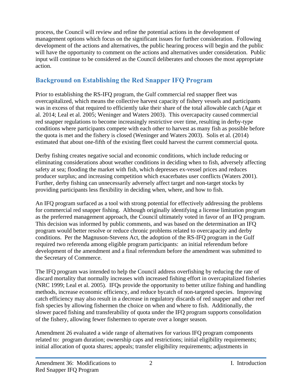process, the Council will review and refine the potential actions in the development of management options which focus on the significant issues for further consideration. Following development of the actions and alternatives, the public hearing process will begin and the public will have the opportunity to comment on the actions and alternatives under consideration. Public input will continue to be considered as the Council deliberates and chooses the most appropriate action.

# **Background on Establishing the Red Snapper IFQ Program**

Prior to establishing the RS-IFQ program, the Gulf commercial red snapper fleet was overcapitalized, which means the collective harvest capacity of fishery vessels and participants was in excess of that required to efficiently take their share of the total allowable catch (Agar et al. 2014; Leal et al. 2005; Weninger and Waters 2003). This overcapacity caused commercial red snapper regulations to become increasingly restrictive over time, resulting in derby-type conditions where participants compete with each other to harvest as many fish as possible before the quota is met and the fishery is closed (Weninger and Waters 2003). Solis et al. (2014) estimated that about one-fifth of the existing fleet could harvest the current commercial quota.

Derby fishing creates negative social and economic conditions, which include reducing or eliminating considerations about weather conditions in deciding when to fish, adversely affecting safety at sea; flooding the market with fish, which depresses ex-vessel prices and reduces producer surplus; and increasing competition which exacerbates user conflicts (Waters 2001). Further, derby fishing can unnecessarily adversely affect target and non-target stocks by providing participants less flexibility in deciding when, where, and how to fish.

An IFQ program surfaced as a tool with strong potential for effectively addressing the problems for commercial red snapper fishing. Although originally identifying a license limitation program as the preferred management approach, the Council ultimately voted in favor of an IFQ program. This decision was informed by public comments, and was based on the determination an IFQ program would better resolve or reduce chronic problems related to overcapacity and derby conditions. Per the Magnuson-Stevens Act, the adoption of the RS-IFQ program in the Gulf required two referenda among eligible program participants: an initial referendum before development of the amendment and a final referendum before the amendment was submitted to the Secretary of Commerce.

The IFQ program was intended to help the Council address overfishing by reducing the rate of discard mortality that normally increases with increased fishing effort in overcapitalized fisheries (NRC 1999; Leal et al. 2005). IFQs provide the opportunity to better utilize fishing and handling methods, increase economic efficiency, and reduce bycatch of non-targeted species. Improving catch efficiency may also result in a decrease in regulatory discards of red snapper and other reef fish species by allowing fishermen the choice on when and where to fish. Additionally, the slower paced fishing and transferability of quota under the IFQ program supports consolidation of the fishery, allowing fewer fishermen to operate over a longer season.

Amendment 26 evaluated a wide range of alternatives for various IFQ program components related to: program duration; ownership caps and restrictions; initial eligibility requirements; initial allocation of quota shares; appeals; transfer eligibility requirements; adjustments in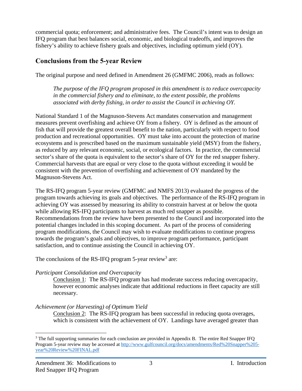commercial quota; enforcement; and administrative fees. The Council's intent was to design an IFQ program that best balances social, economic, and biological tradeoffs, and improves the fishery's ability to achieve fishery goals and objectives, including optimum yield (OY).

# **Conclusions from the 5-year Review**

The original purpose and need defined in Amendment 26 (GMFMC 2006), reads as follows:

*The purpose of the IFQ program proposed in this amendment is to reduce overcapacity in the commercial fishery and to eliminate, to the extent possible, the problems associated with derby fishing, in order to assist the Council in achieving OY.* 

National Standard 1 of the Magnuson-Stevens Act mandates conservation and management measures prevent overfishing and achieve OY from a fishery. OY is defined as the amount of fish that will provide the greatest overall benefit to the nation, particularly with respect to food production and recreational opportunities. OY must take into account the protection of marine ecosystems and is prescribed based on the maximum sustainable yield (MSY) from the fishery, as reduced by any relevant economic, social, or ecological factors. In practice, the commercial sector's share of the quota is equivalent to the sector's share of OY for the red snapper fishery. Commercial harvests that are equal or very close to the quota without exceeding it would be consistent with the prevention of overfishing and achievement of OY mandated by the Magnuson-Stevens Act.

The RS-IFQ program 5-year review (GMFMC and NMFS 2013) evaluated the progress of the program towards achieving its goals and objectives. The performance of the RS-IFQ program in achieving OY was assessed by measuring its ability to constrain harvest at or below the quota while allowing RS-IFQ participants to harvest as much red snapper as possible. Recommendations from the review have been presented to the Council and incorporated into the potential changes included in this scoping document. As part of the process of considering program modifications, the Council may wish to evaluate modifications to continue progress towards the program's goals and objectives, to improve program performance, participant satisfaction, and to continue assisting the Council in achieving OY.

The conclusions of the RS-IFQ program 5-year review<sup>3</sup> are:

# *Participant Consolidation and Overcapacity*

Conclusion 1: The RS-IFQ program has had moderate success reducing overcapacity, however economic analyses indicate that additional reductions in fleet capacity are still necessary.

# *Achievement (or Harvesting) of Optimum Yield*

Conclusion 2: The RS-IFQ program has been successful in reducing quota overages, which is consistent with the achievement of OY. Landings have averaged greater than

 $\overline{a}$ <sup>3</sup> The full supporting summaries for each conclusion are provided in Appendix B. The entire Red Snapper IFQ Program 5-year review may be accessed at http://www.gulfcouncil.org/docs/amendments/Red%20Snapper%205year%20Review%20FINAL.pdf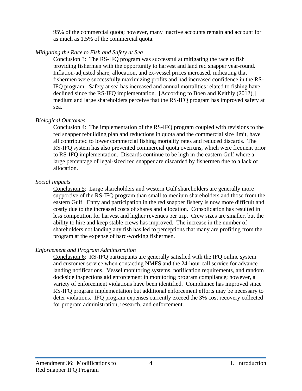95% of the commercial quota; however, many inactive accounts remain and account for as much as 1.5% of the commercial quota.

#### *Mitigating the Race to Fish and Safety at Sea*

Conclusion 3: The RS-IFQ program was successful at mitigating the race to fish providing fishermen with the opportunity to harvest and land red snapper year-round. Inflation-adjusted share, allocation, and ex-vessel prices increased, indicating that fishermen were successfully maximizing profits and had increased confidence in the RS-IFQ program. Safety at sea has increased and annual mortalities related to fishing have declined since the RS-IFQ implementation. [According to Boen and Keithly (2012),] medium and large shareholders perceive that the RS-IFQ program has improved safety at sea.

#### *Biological Outcomes*

Conclusion 4: The implementation of the RS-IFQ program coupled with revisions to the red snapper rebuilding plan and reductions in quota and the commercial size limit, have all contributed to lower commercial fishing mortality rates and reduced discards. The RS-IFQ system has also prevented commercial quota overruns, which were frequent prior to RS-IFQ implementation. Discards continue to be high in the eastern Gulf where a large percentage of legal-sized red snapper are discarded by fishermen due to a lack of allocation.

#### *Social Impacts*

Conclusion 5: Large shareholders and western Gulf shareholders are generally more supportive of the RS-IFQ program than small to medium shareholders and those from the eastern Gulf. Entry and participation in the red snapper fishery is now more difficult and costly due to the increased costs of shares and allocation. Consolidation has resulted in less competition for harvest and higher revenues per trip. Crew sizes are smaller, but the ability to hire and keep stable crews has improved. The increase in the number of shareholders not landing any fish has led to perceptions that many are profiting from the program at the expense of hard-working fishermen.

#### *Enforcement and Program Administration*

Conclusion 6: RS-IFQ participants are generally satisfied with the IFQ online system and customer service when contacting NMFS and the 24-hour call service for advance landing notifications. Vessel monitoring systems, notification requirements, and random dockside inspections aid enforcement in monitoring program compliance; however, a variety of enforcement violations have been identified. Compliance has improved since RS-IFQ program implementation but additional enforcement efforts may be necessary to deter violations. IFQ program expenses currently exceed the 3% cost recovery collected for program administration, research, and enforcement.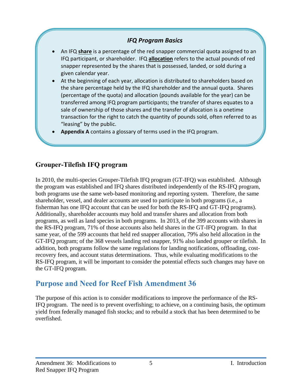# *IFQ Program Basics*

- An IFQ **share** is a percentage of the red snapper commercial quota assigned to an IFQ participant, or shareholder. IFQ **allocation** refers to the actual pounds of red snapper represented by the shares that is possessed, landed, or sold during a given calendar year.
- At the beginning of each year, allocation is distributed to shareholders based on the share percentage held by the IFQ shareholder and the annual quota. Shares (percentage of the quota) and allocation (pounds available for the year) can be transferred among IFQ program participants; the transfer of shares equates to a sale of ownership of those shares and the transfer of allocation is a onetime transaction for the right to catch the quantity of pounds sold, often referred to as "leasing" by the public.
- **Appendix A** contains a glossary of terms used in the IFQ program.

# **Grouper-Tilefish IFQ program**

In 2010, the multi-species Grouper-Tilefish IFQ program (GT-IFQ) was established. Although the program was established and IFQ shares distributed independently of the RS-IFQ program, both programs use the same web-based monitoring and reporting system. Therefore, the same shareholder, vessel, and dealer accounts are used to participate in both programs (i.e., a fisherman has one IFQ account that can be used for both the RS-IFQ and GT-IFQ programs). Additionally, shareholder accounts may hold and transfer shares and allocation from both programs, as well as land species in both programs. In 2013, of the 399 accounts with shares in the RS-IFQ program, 71% of those accounts also held shares in the GT-IFQ program. In that same year, of the 599 accounts that held red snapper allocation, 79% also held allocation in the GT-IFQ program; of the 368 vessels landing red snapper, 91% also landed grouper or tilefish. In addition, both programs follow the same regulations for landing notifications, offloading, costrecovery fees, and account status determinations. Thus, while evaluating modifications to the RS-IFQ program, it will be important to consider the potential effects such changes may have on the GT-IFQ program.

# **Purpose and Need for Reef Fish Amendment 36**

The purpose of this action is to consider modifications to improve the performance of the RS-IFQ program. The need is to prevent overfishing; to achieve, on a continuing basis, the optimum yield from federally managed fish stocks; and to rebuild a stock that has been determined to be overfished.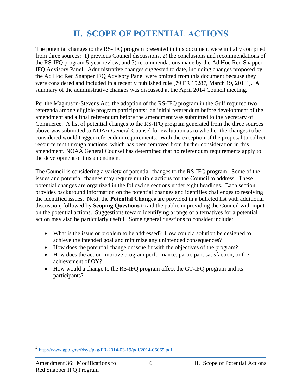# **II. SCOPE OF POTENTIAL ACTIONS**

The potential changes to the RS-IFQ program presented in this document were initially compiled from three sources: 1) previous Council discussions, 2) the conclusions and recommendations of the RS-IFQ program 5-year review, and 3) recommendations made by the Ad Hoc Red Snapper IFQ Advisory Panel. Administrative changes suggested to date, including changes proposed by the Ad Hoc Red Snapper IFQ Advisory Panel were omitted from this document because they were considered and included in a recently published rule [79 FR 15287, March 19, 2014<sup>4</sup>]. A summary of the administrative changes was discussed at the April 2014 Council meeting.

Per the Magnuson-Stevens Act, the adoption of the RS-IFQ program in the Gulf required two referenda among eligible program participants: an initial referendum before development of the amendment and a final referendum before the amendment was submitted to the Secretary of Commerce. A list of potential changes to the RS-IFQ program generated from the three sources above was submitted to NOAA General Counsel for evaluation as to whether the changes to be considered would trigger referendum requirements. With the exception of the proposal to collect resource rent through auctions, which has been removed from further consideration in this amendment, NOAA General Counsel has determined that no referendum requirements apply to the development of this amendment.

The Council is considering a variety of potential changes to the RS-IFQ program. Some of the issues and potential changes may require multiple actions for the Council to address. These potential changes are organized in the following sections under eight headings. Each section provides background information on the potential changes and identifies challenges to resolving the identified issues. Next, the **Potential Changes** are provided in a bulleted list with additional discussion, followed by **Scoping Questions** to aid the public in providing the Council with input on the potential actions. Suggestions toward identifying a range of alternatives for a potential action may also be particularly useful. Some general questions to consider include:

- What is the issue or problem to be addressed? How could a solution be designed to achieve the intended goal and minimize any unintended consequences?
- How does the potential change or issue fit with the objectives of the program?
- How does the action improve program performance, participant satisfaction, or the achievement of OY?
- How would a change to the RS-IFQ program affect the GT-IFQ program and its participants?

 $\overline{a}$ 

<sup>4</sup> http://www.gpo.gov/fdsys/pkg/FR-2014-03-19/pdf/2014-06065.pdf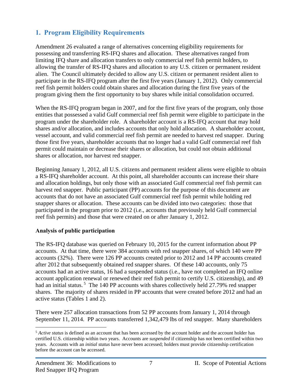# **1. Program Eligibility Requirements**

Amendment 26 evaluated a range of alternatives concerning eligibility requirements for possessing and transferring RS-IFQ shares and allocation. These alternatives ranged from limiting IFQ share and allocation transfers to only commercial reef fish permit holders, to allowing the transfer of RS-IFQ shares and allocation to any U.S. citizen or permanent resident alien. The Council ultimately decided to allow any U.S. citizen or permanent resident alien to participate in the RS-IFQ program after the first five years (January 1, 2012). Only commercial reef fish permit holders could obtain shares and allocation during the first five years of the program giving them the first opportunity to buy shares while initial consolidation occurred.

When the RS-IFQ program began in 2007, and for the first five years of the program, only those entities that possessed a valid Gulf commercial reef fish permit were eligible to participate in the program under the shareholder role. A shareholder account is a RS-IFQ account that may hold shares and/or allocation, and includes accounts that only hold allocation. A shareholder account, vessel account, and valid commercial reef fish permit are needed to harvest red snapper. During those first five years, shareholder accounts that no longer had a valid Gulf commercial reef fish permit could maintain or decrease their shares or allocation, but could not obtain additional shares or allocation, nor harvest red snapper.

Beginning January 1, 2012, all U.S. citizens and permanent resident aliens were eligible to obtain a RS-IFQ shareholder account. At this point, all shareholder accounts can increase their share and allocation holdings, but only those with an associated Gulf commercial reef fish permit can harvest red snapper. Public participant (PP) accounts for the purpose of this document are accounts that do not have an associated Gulf commercial reef fish permit while holding red snapper shares or allocation. These accounts can be divided into two categories: those that participated in the program prior to 2012 (i.e., accounts that previously held Gulf commercial reef fish permits) and those that were created on or after January 1, 2012.

# **Analysis of public participation**

The RS-IFQ database was queried on February 10, 2015 for the current information about PP accounts. At that time, there were 384 accounts with red snapper shares, of which 140 were PP accounts (32%). There were 126 PP accounts created prior to 2012 and 14 PP accounts created after 2012 that subsequently obtained red snapper shares. Of these 140 accounts, only 75 accounts had an active status, 16 had a suspended status (i.e., have not completed an IFQ online account application renewal or renewed their reef fish permit to certify U.S. citizenship), and 49 had an initial status.<sup>5</sup> The 140 PP accounts with shares collectively held 27.79% red snapper shares. The majority of shares resided in PP accounts that were created before 2012 and had an active status (Tables 1 and 2).

There were 257 allocation transactions from 52 PP accounts from January 1, 2014 through September 11, 2014. PP accounts transferred 1,342,479 lbs of red snapper. Many shareholders

 $\overline{a}$ 

<sup>5</sup> *Active status* is defined as an account that has been accessed by the account holder and the account holder has certified U.S. citizenship within two years. Accounts are *suspended* if citizenship has not been certified within two years. Accounts with an *initial status* have never been accessed; holders must provide citizenship certification before the account can be accessed.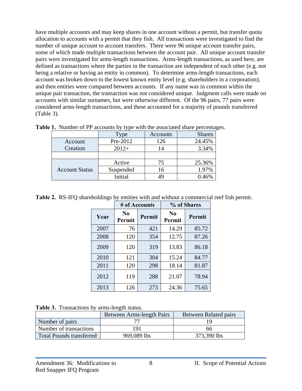have multiple accounts and may keep shares in one account without a permit, but transfer quota allocation to accounts with a permit that they fish. All transactions were investigated to find the number of unique account to account transfers. There were 96 unique account transfer pairs, some of which made multiple transactions between the account pair. All unique account transfer pairs were investigated for arms-length transactions. Arms-length transactions, as used here, are defined as transactions where the parties in the transaction are independent of each other (e.g. not being a relative or having an entity in common). To determine arms-length transactions, each account was broken down to the lowest known entity level (e.g. shareholders in a corporation), and then entities were compared between accounts. If any name was in common within the unique pair transaction, the transaction was not considered unique. Judgment calls were made on accounts with similar surnames, but were otherwise different. Of the 96 pairs, 77 pairs were considered arms-length transactions, and these accounted for a majority of pounds transferred (Table 3).

|                       | Type      | Accounts | <b>Shares</b> |
|-----------------------|-----------|----------|---------------|
| Account               | Pre-2012  | 126      | 24.45%        |
| Creation              | $2012+$   | 14       | 3.34%         |
|                       |           |          |               |
|                       | Active    | 75       | 25.36%        |
| <b>Account Status</b> | Suspended | 16       | 1.97%         |
|                       | Initial   | 49       | 0.46%         |

**Table 1.** Number of PP accounts by type with the associated share percentages.

|  |  |  |  |  |  |  | Table 2. RS-IFQ shareholdings by entities with and without a commercial reef fish permit. |  |
|--|--|--|--|--|--|--|-------------------------------------------------------------------------------------------|--|
|--|--|--|--|--|--|--|-------------------------------------------------------------------------------------------|--|

|      | # of Accounts      |        |              | % of Shares |
|------|--------------------|--------|--------------|-------------|
| Year | $\bf No$<br>Permit | Permit | No<br>Permit | Permit      |
| 2007 | 76                 | 421    | 14.29        | 85.72       |
| 2008 | 120                | 354    | 12.75        | 87.26       |
| 2009 | 120                | 319    | 13.83        | 86.18       |
| 2010 | 121                | 304    | 15.24        | 84.77       |
| 2011 | 120                | 298    | 18.14        | 81.87       |
| 2012 | 119                | 288    | 21.07        | 78.94       |
| 2013 | 126                | 273    | 24.36        | 75.65       |

|  | Table 3. Transactions by arms-length status. |
|--|----------------------------------------------|
|  |                                              |

|                          | Between Arms-length Pairs | <b>Between Related pairs</b> |
|--------------------------|---------------------------|------------------------------|
| Number of pairs          |                           |                              |
| Number of transactions   | 191                       | იი                           |
| Total Pounds transferred | 969,089 lbs               | 373,390 lbs                  |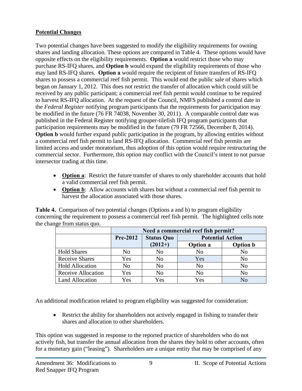# **Potential Changes**

Two potential changes have been suggested to modify the eligibility requirements for owning shares and landing allocation. These options are compared in Table 4. These options would have opposite effects on the eligibility requirements. **Option a** would restrict those who may purchase RS-IFQ shares, and **Option b** would expand the eligibility requirements of those who may land RS-IFQ shares. **Option a** would require the recipient of future transfers of RS-IFQ shares to possess a commercial reef fish permit. This would end the public sale of shares which began on January 1, 2012. This does not restrict the transfer of allocation which could still be received by any public participant; a commercial reef fish permit would continue to be required to harvest RS-IFQ allocation. At the request of the Council, NMFS published a control date in the *Federal Register* notifying program participants that the requirements for participation may be modified in the future (76 FR 74038, November 30, 2011). A comparable control date was published in the Federal Register notifying grouper-tilefish IFQ program participants that participation requirements may be modified in the future (79 FR 72566, December 8, 2014). **Option b** would further expand public participation in the program, by allowing entities without a commercial reef fish permit to land RS-IFQ allocation. Commercial reef fish permits are limited access and under moratorium, thus adoption of this option would require restructuring the commercial sector. Furthermore, this option may conflict with the Council's intent to not pursue intersector trading at this time.

- **Option a**: Restrict the future transfer of shares to only shareholder accounts that hold a valid commercial reef fish permit.
- **Option b**: Allow accounts with shares but without a commercial reef fish permit to harvest the allocation associated with those shares.

**Table 4.** Comparison of two potential changes (Options a and b) to program eligibility concerning the requirement to possess a commercial reef fish permit. The highlighted cells note the change from status quo.

|                        | Need a commercial reef fish permit?                             |                |                 |                 |  |  |  |
|------------------------|-----------------------------------------------------------------|----------------|-----------------|-----------------|--|--|--|
|                        | <b>Pre-2012</b><br><b>Status Quo</b><br><b>Potential Action</b> |                |                 |                 |  |  |  |
|                        |                                                                 | $(2012+)$      | <b>Option a</b> | <b>Option b</b> |  |  |  |
| <b>Hold Shares</b>     | No                                                              | N <sub>o</sub> | N <sub>o</sub>  | N <sub>o</sub>  |  |  |  |
| <b>Receive Shares</b>  | Yes                                                             | N <sub>o</sub> | Yes             | N <sub>0</sub>  |  |  |  |
| <b>Hold Allocation</b> | No                                                              | N <sub>o</sub> | N <sub>o</sub>  | N <sub>o</sub>  |  |  |  |
| Receive Allocation     | Yes                                                             | No             | N <sub>o</sub>  | N <sub>o</sub>  |  |  |  |
| <b>Land Allocation</b> | Yes                                                             | Yes            | Yes             | Nο              |  |  |  |

An additional modification related to program eligibility was suggested for consideration:

• Restrict the ability for shareholders not actively engaged in fishing to transfer their shares and allocation to other shareholders.

This option was suggested in response to the reported practice of shareholders who do not actively fish, but transfer the annual allocation from the shares they hold to other accounts, often for a monetary gain ("leasing"). Shareholders are a unique entity that may be comprised of any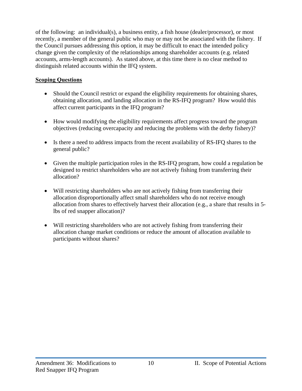of the following: an individual(s), a business entity, a fish house (dealer/processor), or most recently, a member of the general public who may or may not be associated with the fishery. If the Council pursues addressing this option, it may be difficult to enact the intended policy change given the complexity of the relationships among shareholder accounts (e.g. related accounts, arms-length accounts). As stated above, at this time there is no clear method to distinguish related accounts within the IFQ system.

# **Scoping Questions**

- Should the Council restrict or expand the eligibility requirements for obtaining shares, obtaining allocation, and landing allocation in the RS-IFQ program? How would this affect current participants in the IFQ program?
- How would modifying the eligibility requirements affect progress toward the program objectives (reducing overcapacity and reducing the problems with the derby fishery)?
- Is there a need to address impacts from the recent availability of RS-IFQ shares to the general public?
- Given the multiple participation roles in the RS-IFQ program, how could a regulation be designed to restrict shareholders who are not actively fishing from transferring their allocation?
- Will restricting shareholders who are not actively fishing from transferring their allocation disproportionally affect small shareholders who do not receive enough allocation from shares to effectively harvest their allocation (e.g., a share that results in 5 lbs of red snapper allocation)?
- Will restricting shareholders who are not actively fishing from transferring their allocation change market conditions or reduce the amount of allocation available to participants without shares?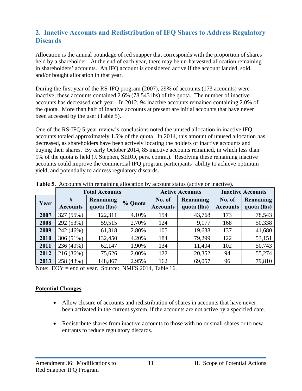# **2. Inactive Accounts and Redistribution of IFQ Shares to Address Regulatory Discards**

Allocation is the annual poundage of red snapper that corresponds with the proportion of shares held by a shareholder. At the end of each year, there may be un-harvested allocation remaining in shareholders' accounts. An IFQ account is considered active if the account landed, sold, and/or bought allocation in that year.

During the first year of the RS-IFQ program (2007), 29% of accounts (173 accounts) were inactive; these accounts contained 2.6% (78,543 lbs) of the quota. The number of inactive accounts has decreased each year. In 2012, 94 inactive accounts remained containing 2.0% of the quota. More than half of inactive accounts at present are initial accounts that have never been accessed by the user (Table 5).

One of the RS-IFQ 5-year review's conclusions noted the unused allocation in inactive IFQ accounts totaled approximately 1.5% of the quota. In 2014, this amount of unused allocation has decreased, as shareholders have been actively locating the holders of inactive accounts and buying their shares. By early October 2014, 85 inactive accounts remained, in which less than 1% of the quota is held (J. Stephen, SERO, pers. comm.). Resolving these remaining inactive accounts could improve the commercial IFQ program participants' ability to achieve optimum yield, and potentially to address regulatory discards.

|      | <b>Total Accounts</b> |                          |         | <b>Active Accounts</b>    |                          | <b>Inactive Accounts</b>  |                          |
|------|-----------------------|--------------------------|---------|---------------------------|--------------------------|---------------------------|--------------------------|
| Year | #<br><b>Accounts</b>  | Remaining<br>quota (lbs) | % Quota | No. of<br><b>Accounts</b> | Remaining<br>quota (lbs) | No. of<br><b>Accounts</b> | Remaining<br>quota (lbs) |
| 2007 | 327 (55%)             | 122,311                  | 4.10%   | 154                       | 43,768                   | 173                       | 78,543                   |
| 2008 | 292 (53%)             | 59,515                   | 2.70%   | 124                       | 9,177                    | 168                       | 50,338                   |
| 2009 | 242 (46%)             | 61,318                   | 2.80%   | 105                       | 19,638                   | 137                       | 41,680                   |
| 2010 | 306 (51%)             | 132,450                  | 4.20%   | 184                       | 79,299                   | 122                       | 53,151                   |
| 2011 | 236 (40%)             | 62,147                   | 1.90%   | 134                       | 11,404                   | 102                       | 50,743                   |
| 2012 | 216 (36%)             | 75,626                   | 2.00%   | 122                       | 20,352                   | 94                        | 55,274                   |
| 2013 | 258 (43%)             | 148,867                  | 2.95%   | 162                       | 69,057                   | 96                        | 79,810                   |

**Table 5.** Accounts with remaining allocation by account status (active or inactive).

Note: EOY = end of year. Source: NMFS 2014, Table 16.

#### **Potential Changes**

- Allow closure of accounts and redistribution of shares in accounts that have never been activated in the current system, if the accounts are not active by a specified date.
- Redistribute shares from inactive accounts to those with no or small shares or to new entrants to reduce regulatory discards.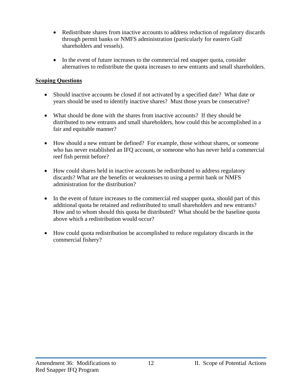- Redistribute shares from inactive accounts to address reduction of regulatory discards through permit banks or NMFS administration (particularly for eastern Gulf shareholders and vessels).
- In the event of future increases to the commercial red snapper quota, consider alternatives to redistribute the quota increases to new entrants and small shareholders.

# **Scoping Questions**

- Should inactive accounts be closed if not activated by a specified date? What date or years should be used to identify inactive shares? Must those years be consecutive?
- What should be done with the shares from inactive accounts? If they should be distributed to new entrants and small shareholders, how could this be accomplished in a fair and equitable manner?
- How should a new entrant be defined? For example, those without shares, or someone who has never established an IFQ account, or someone who has never held a commercial reef fish permit before?
- How could shares held in inactive accounts be redistributed to address regulatory discards? What are the benefits or weaknesses to using a permit bank or NMFS administration for the distribution?
- In the event of future increases to the commercial red snapper quota, should part of this additional quota be retained and redistributed to small shareholders and new entrants? How and to whom should this quota be distributed? What should be the baseline quota above which a redistribution would occur?
- How could quota redistribution be accomplished to reduce regulatory discards in the commercial fishery?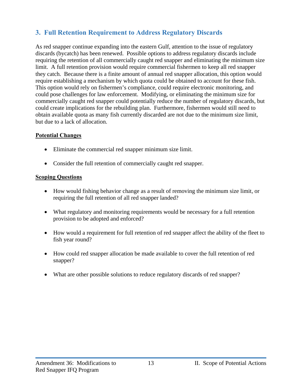# **3. Full Retention Requirement to Address Regulatory Discards**

As red snapper continue expanding into the eastern Gulf, attention to the issue of regulatory discards (bycatch) has been renewed. Possible options to address regulatory discards include requiring the retention of all commercially caught red snapper and eliminating the minimum size limit. A full retention provision would require commercial fishermen to keep all red snapper they catch. Because there is a finite amount of annual red snapper allocation, this option would require establishing a mechanism by which quota could be obtained to account for these fish. This option would rely on fishermen's compliance, could require electronic monitoring, and could pose challenges for law enforcement. Modifying, or eliminating the minimum size for commercially caught red snapper could potentially reduce the number of regulatory discards, but could create implications for the rebuilding plan. Furthermore, fishermen would still need to obtain available quota as many fish currently discarded are not due to the minimum size limit, but due to a lack of allocation.

#### **Potential Changes**

- Eliminate the commercial red snapper minimum size limit.
- Consider the full retention of commercially caught red snapper.

#### **Scoping Questions**

- How would fishing behavior change as a result of removing the minimum size limit, or requiring the full retention of all red snapper landed?
- What regulatory and monitoring requirements would be necessary for a full retention provision to be adopted and enforced?
- How would a requirement for full retention of red snapper affect the ability of the fleet to fish year round?
- How could red snapper allocation be made available to cover the full retention of red snapper?
- What are other possible solutions to reduce regulatory discards of red snapper?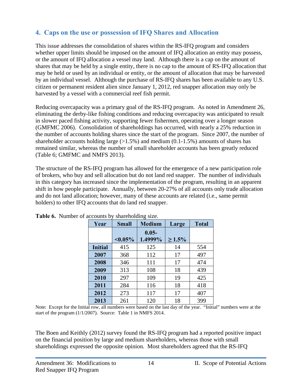# **4. Caps on the use or possession of IFQ Shares and Allocation**

This issue addresses the consolidation of shares within the RS-IFQ program and considers whether upper limits should be imposed on the amount of IFQ allocation an entity may possess, or the amount of IFQ allocation a vessel may land. Although there is a cap on the amount of shares that may be held by a single entity, there is no cap to the amount of RS-IFQ allocation that may be held or used by an individual or entity, or the amount of allocation that may be harvested by an individual vessel. Although the purchase of RS-IFQ shares has been available to any U.S. citizen or permanent resident alien since January 1, 2012, red snapper allocation may only be harvested by a vessel with a commercial reef fish permit.

Reducing overcapacity was a primary goal of the RS-IFQ program. As noted in Amendment 26, eliminating the derby-like fishing conditions and reducing overcapacity was anticipated to result in slower paced fishing activity, supporting fewer fishermen, operating over a longer season (GMFMC 2006). Consolidation of shareholdings has occurred, with nearly a 25% reduction in the number of accounts holding shares since the start of the program. Since 2007, the number of shareholder accounts holding large  $(>1.5\%)$  and medium  $(0.1-1.5\%)$  amounts of shares has remained similar, whereas the number of small shareholder accounts has been greatly reduced (Table 6; GMFMC and NMFS 2013).

The structure of the RS-IFQ program has allowed for the emergence of a new participation role of brokers, who buy and sell allocation but do not land red snapper. The number of individuals in this category has increased since the implementation of the program, resulting in an apparent shift in how people participate. Annually, between 20-27% of all accounts only trade allocation and do not land allocation; however, many of these accounts are related (i.e., same permit holders) to other IFQ accounts that do land red snapper.

| Year           | <b>Small</b> | <b>Medium</b> | Large        | <b>Total</b> |
|----------------|--------------|---------------|--------------|--------------|
|                |              | $0.05 -$      |              |              |
|                | $< 0.05\%$   | 1.4999%       | $\geq 1.5\%$ |              |
| <b>Initial</b> | 415          | 125           | 14           | 554          |
| 2007           | 368          | 112           | 17           | 497          |
| 2008           | 346          | 111           | 17           | 474          |
| 2009           | 313          | 108           | 18           | 439          |
| 2010           | 297          | 109           | 19           | 425          |
| 2011           | 284          | 116           | 18           | 418          |
| 2012           | 273          | 117           | 17           | 407          |
| 2013           | 261          | 120           | 18           | 399          |

**Table 6.** Number of accounts by shareholding size.

Note: Except for the Initial row, all numbers were based on the last day of the year. "Initial" numbers were at the start of the program (1/1/2007). Source: Table 1 in NMFS 2014.

The Boen and Keithly (2012) survey found the RS-IFQ program had a reported positive impact on the financial position by large and medium shareholders, whereas those with small shareholdings expressed the opposite opinion. Most shareholders agreed that the RS-IFQ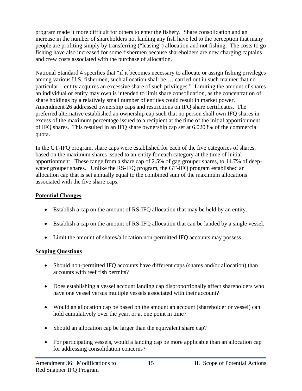program made it more difficult for others to enter the fishery. Share consolidation and an increase in the number of shareholders not landing any fish have led to the perception that many people are profiting simply by transferring ("leasing") allocation and not fishing. The costs to go fishing have also increased for some fishermen because shareholders are now charging captains and crew costs associated with the purchase of allocation.

National Standard 4 specifies that "if it becomes necessary to allocate or assign fishing privileges among various U.S. fishermen, such allocation shall be … carried out in such manner that no particular…entity acquires an excessive share of such privileges." Limiting the amount of shares an individual or entity may own is intended to limit share consolidation, as the concentration of share holdings by a relatively small number of entities could result in market power. Amendment 26 addressed ownership caps and restrictions on IFQ share certificates. The preferred alternative established an ownership cap such that no person shall own IFQ shares in excess of the maximum percentage issued to a recipient at the time of the initial apportionment of IFQ shares. This resulted in an IFQ share ownership cap set at 6.0203% of the commercial quota.

In the GT-IFQ program, share caps were established for each of the five categories of shares, based on the maximum shares issued to an entity for each category at the time of initial apportionment. These range from a share cap of 2.5% of gag grouper shares, to 14.7% of deepwater grouper shares. Unlike the RS-IFQ program, the GT-IFQ program established an allocation cap that is set annually equal to the combined sum of the maximum allocations associated with the five share caps.

# **Potential Changes**

- Establish a cap on the amount of RS-IFQ allocation that may be held by an entity.
- Establish a cap on the amount of RS-IFQ allocation that can be landed by a single vessel.
- Limit the amount of shares/allocation non-permitted IFQ accounts may possess.

# **Scoping Questions**

- Should non-permitted IFQ accounts have different caps (shares and/or allocation) than accounts with reef fish permits?
- Does establishing a vessel account landing cap disproportionally affect shareholders who have one vessel versus multiple vessels associated with their account?
- Would an allocation cap be based on the amount an account (shareholder or vessel) can hold cumulatively over the year, or at one point in time?
- Should an allocation cap be larger than the equivalent share cap?
- For participating vessels, would a landing cap be more applicable than an allocation cap for addressing consolidation concerns?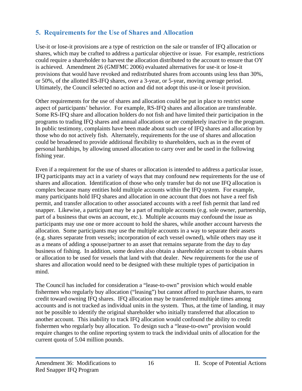# **5. Requirements for the Use of Shares and Allocation**

Use-it or lose-it provisions are a type of restriction on the sale or transfer of IFQ allocation or shares, which may be crafted to address a particular objective or issue. For example, restrictions could require a shareholder to harvest the allocation distributed to the account to ensure that OY is achieved. Amendment 26 (GMFMC 2006) evaluated alternatives for use-it or lose-it provisions that would have revoked and redistributed shares from accounts using less than 30%, or 50%, of the allotted RS-IFQ shares, over a 3-year, or 5-year, moving average period. Ultimately, the Council selected no action and did not adopt this use-it or lose-it provision.

Other requirements for the use of shares and allocation could be put in place to restrict some aspect of participants' behavior. For example, RS-IFQ shares and allocation are transferable. Some RS-IFQ share and allocation holders do not fish and have limited their participation in the programs to trading IFQ shares and annual allocations or are completely inactive in the program. In public testimony, complaints have been made about such use of IFQ shares and allocation by those who do not actively fish. Alternately, requirements for the use of shares and allocation could be broadened to provide additional flexibility to shareholders, such as in the event of personal hardships, by allowing unused allocation to carry over and be used in the following fishing year.

Even if a requirement for the use of shares or allocation is intended to address a particular issue, IFQ participants may act in a variety of ways that may confound new requirements for the use of shares and allocation. Identification of those who only transfer but do not use IFQ allocation is complex because many entities hold multiple accounts within the IFQ system. For example, many participants hold IFQ shares and allocation in one account that does not have a reef fish permit, and transfer allocation to other associated accounts with a reef fish permit that land red snapper. Likewise, a participant may be a part of multiple accounts (e.g. sole owner, partnership, part of a business that owns an account, etc.). Multiple accounts may confound the issue as participants may use one or more account to hold the shares, while another account harvests the allocation. Some participants may use the multiple accounts in a way to separate their assets (e.g. shares separate from vessels; incorporation of each vessel owned), while others may use it as a means of adding a spouse/partner to an asset that remains separate from the day to day business of fishing. In addition, some dealers also obtain a shareholder account to obtain shares or allocation to be used for vessels that land with that dealer. New requirements for the use of shares and allocation would need to be designed with these multiple types of participation in mind.

The Council has included for consideration a "lease-to-own" provision which would enable fishermen who regularly buy allocation ("leasing") but cannot afford to purchase shares, to earn credit toward owning IFQ shares. IFQ allocation may be transferred multiple times among accounts and is not tracked as individual units in the system. Thus, at the time of landing, it may not be possible to identify the original shareholder who initially transferred that allocation to another account. This inability to track IFQ allocation would confound the ability to credit fishermen who regularly buy allocation. To design such a "lease-to-own" provision would require changes to the online reporting system to track the individual units of allocation for the current quota of 5.04 million pounds.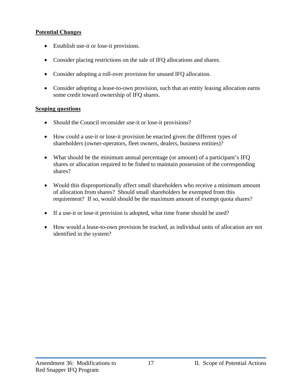# **Potential Changes**

- Establish use-it or lose-it provisions.
- Consider placing restrictions on the sale of IFQ allocations and shares.
- Consider adopting a roll-over provision for unused IFQ allocation.
- Consider adopting a lease-to-own provision, such that an entity leasing allocation earns some credit toward ownership of IFQ shares.

# **Scoping questions**

- Should the Council reconsider use-it or lose-it provisions?
- How could a use-it or lose-it provision be enacted given the different types of shareholders (owner-operators, fleet owners, dealers, business entities)?
- What should be the minimum annual percentage (or amount) of a participant's IFQ shares or allocation required to be fished to maintain possession of the corresponding shares?
- Would this disproportionally affect small shareholders who receive a minimum amount of allocation from shares? Should small shareholders be exempted from this requirement? If so, would should be the maximum amount of exempt quota shares?
- If a use-it or lose-it provision is adopted, what time frame should be used?
- How would a lease-to-own provision be tracked, as individual units of allocation are not identified in the system?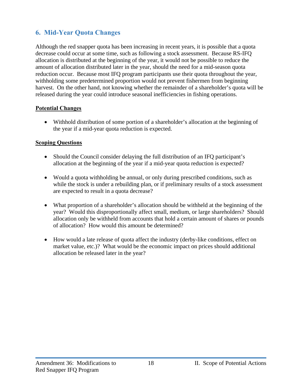# **6. Mid-Year Quota Changes**

Although the red snapper quota has been increasing in recent years, it is possible that a quota decrease could occur at some time, such as following a stock assessment. Because RS-IFQ allocation is distributed at the beginning of the year, it would not be possible to reduce the amount of allocation distributed later in the year, should the need for a mid-season quota reduction occur. Because most IFQ program participants use their quota throughout the year, withholding some predetermined proportion would not prevent fishermen from beginning harvest. On the other hand, not knowing whether the remainder of a shareholder's quota will be released during the year could introduce seasonal inefficiencies in fishing operations.

#### **Potential Changes**

 Withhold distribution of some portion of a shareholder's allocation at the beginning of the year if a mid-year quota reduction is expected.

#### **Scoping Questions**

- Should the Council consider delaying the full distribution of an IFQ participant's allocation at the beginning of the year if a mid-year quota reduction is expected?
- Would a quota withholding be annual, or only during prescribed conditions, such as while the stock is under a rebuilding plan, or if preliminary results of a stock assessment are expected to result in a quota decrease?
- What proportion of a shareholder's allocation should be withheld at the beginning of the year? Would this disproportionally affect small, medium, or large shareholders? Should allocation only be withheld from accounts that hold a certain amount of shares or pounds of allocation? How would this amount be determined?
- How would a late release of quota affect the industry (derby-like conditions, effect on market value, etc.)? What would be the economic impact on prices should additional allocation be released later in the year?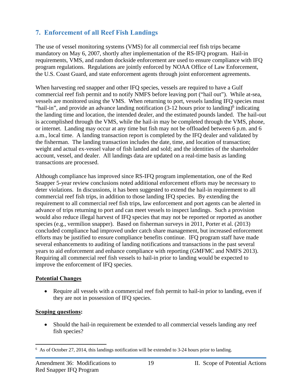# **7. Enforcement of all Reef Fish Landings**

The use of vessel monitoring systems (VMS) for all commercial reef fish trips became mandatory on May 6, 2007, shortly after implementation of the RS-IFQ program. Hail-in requirements, VMS, and random dockside enforcement are used to ensure compliance with IFQ program regulations. Regulations are jointly enforced by NOAA Office of Law Enforcement, the U.S. Coast Guard, and state enforcement agents through joint enforcement agreements.

When harvesting red snapper and other IFQ species, vessels are required to have a Gulf commercial reef fish permit and to notify NMFS before leaving port ("hail out"). While at-sea, vessels are monitored using the VMS. When returning to port, vessels landing IFQ species must "hail-in", and provide an advance landing notification  $(3-12$  hours prior to landing)<sup>6</sup> indicating the landing time and location, the intended dealer, and the estimated pounds landed. The hail-out is accomplished through the VMS, while the hail-in may be completed through the VMS, phone, or internet. Landing may occur at any time but fish may not be offloaded between 6 p.m. and 6 a.m., local time. A landing transaction report is completed by the IFQ dealer and validated by the fisherman. The landing transaction includes the date, time, and location of transaction; weight and actual ex-vessel value of fish landed and sold; and the identities of the shareholder account, vessel, and dealer. All landings data are updated on a real-time basis as landing transactions are processed.

Although compliance has improved since RS-IFQ program implementation, one of the Red Snapper 5-year review conclusions noted additional enforcement efforts may be necessary to deter violations. In discussions, it has been suggested to extend the hail-in requirement to all commercial reef fish trips, in addition to those landing IFQ species. By extending the requirement to all commercial reef fish trips, law enforcement and port agents can be alerted in advance of trips returning to port and can meet vessels to inspect landings. Such a provision would also reduce illegal harvest of IFQ species that may not be reported or reported as another species (e.g., vermilion snapper). Based on fisherman surveys in 2011, Porter et al. (2013) concluded compliance had improved under catch share management, but increased enforcement efforts may be justified to ensure compliance benefits continue. IFQ program staff have made several enhancements to auditing of landing notifications and transactions in the past several years to aid enforcement and enhance compliance with reporting (GMFMC and NMFS 2013). Requiring all commercial reef fish vessels to hail-in prior to landing would be expected to improve the enforcement of IFQ species.

# **Potential Changes**

 Require all vessels with a commercial reef fish permit to hail-in prior to landing, even if they are not in possession of IFQ species.

# **Scoping questions:**

 Should the hail-in requirement be extended to all commercial vessels landing any reef fish species?

<sup>1</sup> 6 As of October 27, 2014, this landings notification will be extended to 3-24 hours prior to landing.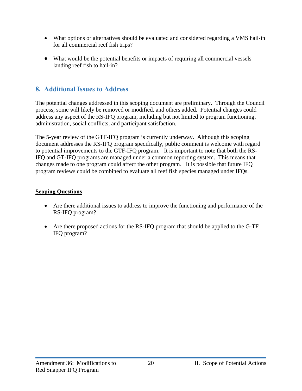- What options or alternatives should be evaluated and considered regarding a VMS hail-in for all commercial reef fish trips?
- What would be the potential benefits or impacts of requiring all commercial vessels landing reef fish to hail-in?

# **8. Additional Issues to Address**

The potential changes addressed in this scoping document are preliminary. Through the Council process, some will likely be removed or modified, and others added. Potential changes could address any aspect of the RS-IFQ program, including but not limited to program functioning, administration, social conflicts, and participant satisfaction.

The 5-year review of the GTF-IFQ program is currently underway. Although this scoping document addresses the RS-IFQ program specifically, public comment is welcome with regard to potential improvements to the GTF-IFQ program. It is important to note that both the RS-IFQ and GT-IFQ programs are managed under a common reporting system. This means that changes made to one program could affect the other program. It is possible that future IFQ program reviews could be combined to evaluate all reef fish species managed under IFQs.

#### **Scoping Questions**

- Are there additional issues to address to improve the functioning and performance of the RS-IFQ program?
- Are there proposed actions for the RS-IFQ program that should be applied to the G-TF IFQ program?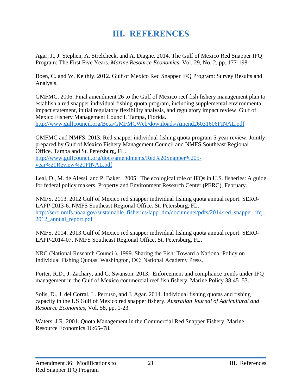# **III. REFERENCES**

Agar, J., J. Stephen, A. Strelcheck, and A. Diagne. 2014. The Gulf of Mexico Red Snapper IFQ Program: The First Five Years. *Marine Resource Economics*. Vol. 29, No. 2, pp. 177-198.

Boen, C. and W. Keithly. 2012. Gulf of Mexico Red Snapper IFQ Program: Survey Results and Analysis.

GMFMC. 2006. Final amendment 26 to the Gulf of Mexico reef fish fishery management plan to establish a red snapper individual fishing quota program, including supplemental environmental impact statement, initial regulatory flexibility analysis, and regulatory impact review. Gulf of Mexico Fishery Management Council. Tampa, Florida.

http://www.gulfcouncil.org/Beta/GMFMCWeb/downloads/Amend26031606FINAL.pdf

GMFMC and NMFS. 2013. Red snapper individual fishing quota program 5-year review. Jointly prepared by Gulf of Mexico Fishery Management Council and NMFS Southeast Regional Office. Tampa and St. Petersburg, FL.

http://www.gulfcouncil.org/docs/amendments/Red%20Snapper%205 year%20Review%20FINAL.pdf

Leal, D., M. de Alessi, and P. Baker. 2005. The ecological role of IFQs in U.S. fisheries: A guide for federal policy makers. Property and Environment Research Center (PERC), February.

NMFS. 2013. 2012 Gulf of Mexico red snapper individual fishing quota annual report. SERO-LAPP-2013-6. NMFS Southeast Regional Office. St. Petersburg, FL. http://sero.nmfs.noaa.gov/sustainable\_fisheries/lapp\_dm/documents/pdfs/2014/red\_snapper\_ifq 2012\_annual\_report.pdf

NMFS. 2014. 2013 Gulf of Mexico red snapper individual fishing quota annual report. SERO-LAPP-2014-07. NMFS Southeast Regional Office. St. Petersburg, FL.

NRC (National Research Council). 1999. Sharing the Fish: Toward a National Policy on Individual Fishing Quotas. Washington, DC: National Academy Press.

Porter, R.D., J. Zachary, and G. Swanson. 2013. Enforcement and compliance trends under IFQ management in the Gulf of Mexico commercial reef fish fishery. Marine Policy 38:45–53.

Solis, D., J. del Corral, L. Perruso, and J. Agar. 2014. Individual fishing quotas and fishing capacity in the US Gulf of Mexico red snapper fishery. *Australian Journal of Agricultural and Resource Economics*, Vol. 58, pp. 1-23.

Waters, J.R. 2001. Quota Management in the Commercial Red Snapper Fishery. Marine Resource Economics 16:65–78.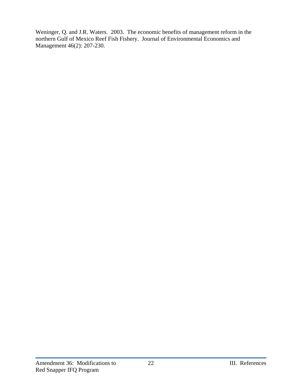Weninger, Q. and J.R. Waters. 2003. The economic benefits of management reform in the northern Gulf of Mexico Reef Fish Fishery. Journal of Environmental Economics and Management 46(2): 207-230.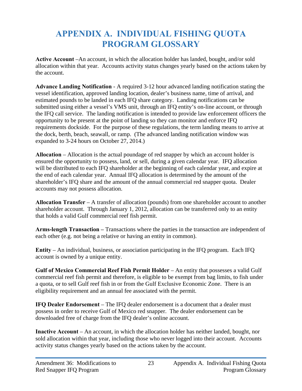# **APPENDIX A. INDIVIDUAL FISHING QUOTA PROGRAM GLOSSARY**

**Active Account** –An account, in which the allocation holder has landed, bought, and/or sold allocation within that year. Accounts activity status changes yearly based on the actions taken by the account.

**Advance Landing Notification** - A required 3-12 hour advanced landing notification stating the vessel identification, approved landing location, dealer's business name, time of arrival, and estimated pounds to be landed in each IFQ share category. Landing notifications can be submitted using either a vessel's VMS unit, through an IFQ entity's on-line account, or through the IFQ call service. The landing notification is intended to provide law enforcement officers the opportunity to be present at the point of landing so they can monitor and enforce IFQ requirements dockside. For the purpose of these regulations, the term landing means to arrive at the dock, berth, beach, seawall, or ramp. (The advanced landing notification window was expanded to 3-24 hours on October 27, 2014.)

**Allocation** – Allocation is the actual poundage of red snapper by which an account holder is ensured the opportunity to possess, land, or sell, during a given calendar year. IFQ allocation will be distributed to each IFQ shareholder at the beginning of each calendar year, and expire at the end of each calendar year. Annual IFQ allocation is determined by the amount of the shareholder's IFQ share and the amount of the annual commercial red snapper quota. Dealer accounts may not possess allocation.

**Allocation Transfer** – A transfer of allocation (pounds) from one shareholder account to another shareholder account. Through January 1, 2012, allocation can be transferred only to an entity that holds a valid Gulf commercial reef fish permit.

**Arms-length Transaction –** Transactions where the parties in the transaction are independent of each other (e.g. not being a relative or having an entity in common).

**Entity** – An individual, business, or association participating in the IFQ program. Each IFQ account is owned by a unique entity.

**Gulf of Mexico Commercial Reef Fish Permit Holder** – An entity that possesses a valid Gulf commercial reef fish permit and therefore, is eligible to be exempt from bag limits, to fish under a quota, or to sell Gulf reef fish in or from the Gulf Exclusive Economic Zone. There is an eligibility requirement and an annual fee associated with the permit.

**IFQ Dealer Endorsement** – The IFQ dealer endorsement is a document that a dealer must possess in order to receive Gulf of Mexico red snapper. The dealer endorsement can be downloaded free of charge from the IFQ dealer's online account.

**Inactive Account** – An account, in which the allocation holder has neither landed, bought, nor sold allocation within that year, including those who never logged into their account. Accounts activity status changes yearly based on the actions taken by the account.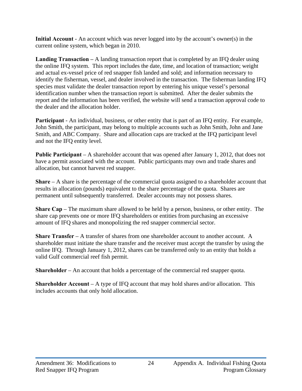**Initial Account** - An account which was never logged into by the account's owner(s) in the current online system, which began in 2010.

**Landing Transaction –** A landing transaction report that is completed by an IFQ dealer using the online IFQ system. This report includes the date, time, and location of transaction; weight and actual ex-vessel price of red snapper fish landed and sold; and information necessary to identify the fisherman, vessel, and dealer involved in the transaction. The fisherman landing IFQ species must validate the dealer transaction report by entering his unique vessel's personal identification number when the transaction report is submitted. After the dealer submits the report and the information has been verified, the website will send a transaction approval code to the dealer and the allocation holder.

**Participant** - An individual, business, or other entity that is part of an IFQ entity. For example, John Smith, the participant, may belong to multiple accounts such as John Smith, John and Jane Smith, and ABC Company. Share and allocation caps are tracked at the IFQ participant level and not the IFQ entity level.

**Public Participant** – A shareholder account that was opened after January 1, 2012, that does not have a permit associated with the account. Public participants may own and trade shares and allocation, but cannot harvest red snapper.

**Share** – A share is the percentage of the commercial quota assigned to a shareholder account that results in allocation (pounds) equivalent to the share percentage of the quota. Shares are permanent until subsequently transferred. Dealer accounts may not possess shares.

**Share Cap** – The maximum share allowed to be held by a person, business, or other entity. The share cap prevents one or more IFQ shareholders or entities from purchasing an excessive amount of IFQ shares and monopolizing the red snapper commercial sector.

**Share Transfer** – A transfer of shares from one shareholder account to another account. A shareholder must initiate the share transfer and the receiver must accept the transfer by using the online IFQ. Through January 1, 2012, shares can be transferred only to an entity that holds a valid Gulf commercial reef fish permit.

**Shareholder** – An account that holds a percentage of the commercial red snapper quota.

**Shareholder Account** – A type of IFQ account that may hold shares and/or allocation. This includes accounts that only hold allocation.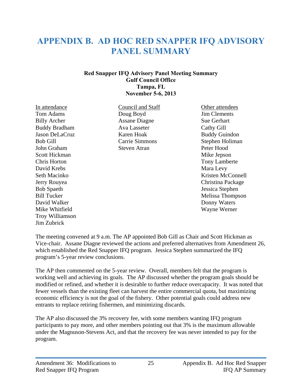# **APPENDIX B. AD HOC RED SNAPPER IFQ ADVISORY PANEL SUMMARY**

#### **Red Snapper IFQ Advisory Panel Meeting Summary Gulf Council Office Tampa, FL November 5-6, 2013**

In attendance Tom Adams Billy Archer Buddy Bradham Jason DeLaCruz Bob Gill John Graham Scott Hickman Chris Horton David Krebs Seth Macinko Jerry Rouyea Bob Spaeth Bill Tucker David Walker Mike Whitfield Troy Williamson Jim Zubrick

Council and Staff Doug Boyd Assane Diagne Ava Lasseter Karen Hoak Carrie Simmons Steven Atran

Other attendees Jim Clements Sue Gerhart Cathy Gill Buddy Guindon Stephen Holiman Peter Hood Mike Jepson Tony Lamberte Mara Levy Kristen McConnell Christina Package Jessica Stephen Melissa Thompson Donny Waters Wayne Werner

The meeting convened at 9 a.m. The AP appointed Bob Gill as Chair and Scott Hickman as Vice-chair. Assane Diagne reviewed the actions and preferred alternatives from Amendment 26, which established the Red Snapper IFQ program. Jessica Stephen summarized the IFQ program's 5-year review conclusions.

The AP then commented on the 5-year review. Overall, members felt that the program is working well and achieving its goals. The AP discussed whether the program goals should be modified or refined, and whether it is desirable to further reduce overcapacity. It was noted that fewer vessels than the existing fleet can harvest the entire commercial quota, but maximizing economic efficiency is not the goal of the fishery. Other potential goals could address new entrants to replace retiring fishermen, and minimizing discards.

The AP also discussed the 3% recovery fee, with some members wanting IFQ program participants to pay more, and other members pointing out that 3% is the maximum allowable under the Magnuson-Stevens Act, and that the recovery fee was never intended to pay for the program.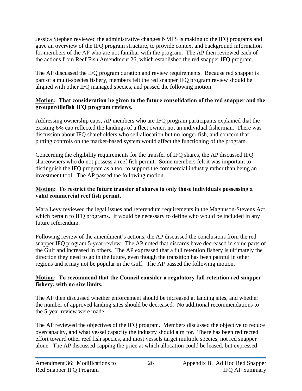Jessica Stephen reviewed the administrative changes NMFS is making to the IFQ programs and gave an overview of the IFQ program structure, to provide context and background information for members of the AP who are not familiar with the program. The AP then reviewed each of the actions from Reef Fish Amendment 26, which established the red snapper IFQ program.

The AP discussed the IFQ program duration and review requirements. Because red snapper is part of a multi-species fishery, members felt the red snapper IFQ program review should be aligned with other IFQ managed species, and passed the following motion:

# **Motion: That consideration be given to the future consolidation of the red snapper and the grouper/tilefish IFQ program reviews.**

Addressing ownership caps, AP members who are IFQ program participants explained that the existing 6% cap reflected the landings of a fleet owner, not an individual fisherman. There was discussion about IFQ shareholders who sell allocation but no longer fish, and concern that putting controls on the market-based system would affect the functioning of the program.

Concerning the eligibility requirements for the transfer of IFQ shares, the AP discussed IFQ shareowners who do not possess a reef fish permit. Some members felt it was important to distinguish the IFQ program as a tool to support the commercial industry rather than being an investment tool. The AP passed the following motion.

# **Motion: To restrict the future transfer of shares to only those individuals possessing a valid commercial reef fish permit.**

Mara Levy reviewed the legal issues and referendum requirements in the Magnuson-Stevens Act which pertain to IFQ programs. It would be necessary to define who would be included in any future referendum.

Following review of the amendment's actions, the AP discussed the conclusions from the red snapper IFQ program 5-year review. The AP noted that discards have decreased in some parts of the Gulf and increased in others. The AP expressed that a full retention fishery is ultimately the direction they need to go in the future, even though the transition has been painful in other regions and it may not be popular in the Gulf. The AP passed the following motion.

# **Motion: To recommend that the Council consider a regulatory full retention red snapper fishery, with no size limits.**

The AP then discussed whether enforcement should be increased at landing sites, and whether the number of approved landing sites should be decreased. No additional recommendations to the 5-year review were made.

The AP reviewed the objectives of the IFQ program. Members discussed the objective to reduce overcapacity, and what vessel capacity the industry should aim for. There has been redirected effort toward other reef fish species, and most vessels target multiple species, not red snapper alone. The AP discussed capping the price at which allocation could be leased, but expressed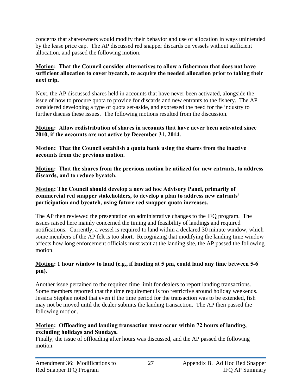concerns that shareowners would modify their behavior and use of allocation in ways unintended by the lease price cap. The AP discussed red snapper discards on vessels without sufficient allocation, and passed the following motion.

# **Motion: That the Council consider alternatives to allow a fisherman that does not have sufficient allocation to cover bycatch, to acquire the needed allocation prior to taking their next trip.**

Next, the AP discussed shares held in accounts that have never been activated, alongside the issue of how to procure quota to provide for discards and new entrants to the fishery. The AP considered developing a type of quota set-aside, and expressed the need for the industry to further discuss these issues. The following motions resulted from the discussion.

### **Motion: Allow redistribution of shares in accounts that have never been activated since 2010, if the accounts are not active by December 31, 2014.**

**Motion: That the Council establish a quota bank using the shares from the inactive accounts from the previous motion.** 

**Motion: That the shares from the previous motion be utilized for new entrants, to address discards, and to reduce bycatch.** 

### **Motion: The Council should develop a new ad hoc Advisory Panel, primarily of commercial red snapper stakeholders, to develop a plan to address new entrants' participation and bycatch, using future red snapper quota increases.**

The AP then reviewed the presentation on administrative changes to the IFQ program. The issues raised here mainly concerned the timing and feasibility of landings and required notifications. Currently, a vessel is required to land within a declared 30 minute window, which some members of the AP felt is too short. Recognizing that modifying the landing time window affects how long enforcement officials must wait at the landing site, the AP passed the following motion.

# **Motion: 1 hour window to land (e.g., if landing at 5 pm, could land any time between 5-6 pm).**

Another issue pertained to the required time limit for dealers to report landing transactions. Some members reported that the time requirement is too restrictive around holiday weekends. Jessica Stephen noted that even if the time period for the transaction was to be extended, fish may not be moved until the dealer submits the landing transaction. The AP then passed the following motion.

# **Motion: Offloading and landing transaction must occur within 72 hours of landing, excluding holidays and Sundays.**

Finally, the issue of offloading after hours was discussed, and the AP passed the following motion.